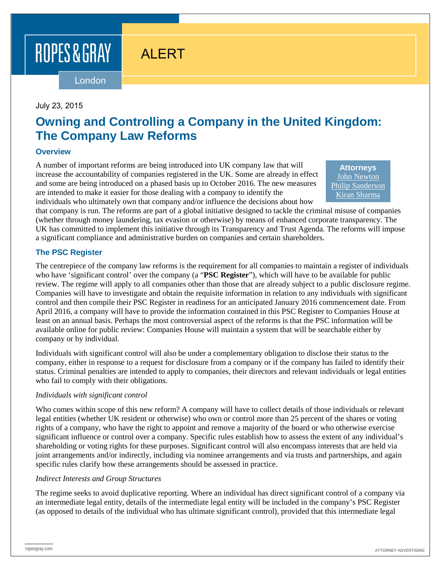ROPES & GRAY

# ALERT

London

## July 23, 2015

## **Owning and Controlling a Company in the United Kingdom: The Company Law Reforms**

#### **Overview**

A number of important reforms are being introduced into UK company law that will increase the accountability of companies registered in the UK. Some are already in effect and some are being introduced on a phased basis up to October 2016. The new measures are intended to make it easier for those dealing with a company to identify the individuals who ultimately own that company and/or influence the decisions about how

**Attorneys** [John Newton](https://www.ropesgray.com/biographies/n/john-newton.aspx) [Philip Sanderson](http://www.ropesgray.com/biographies/s/philip-sanderson.aspx) Kiran [Sharma](http://www.ropesgray.com/biographies/s/kiran-sharma.aspx)

that company is run. The reforms are part of a global initiative designed to tackle the criminal misuse of companies (whether through money laundering, tax evasion or otherwise) by means of enhanced corporate transparency. The UK has committed to implement this initiative through its Transparency and Trust Agenda. The reforms will impose a significant compliance and administrative burden on companies and certain shareholders.

## **The PSC Register**

The centrepiece of the company law reforms is the requirement for all companies to maintain a register of individuals who have 'significant control' over the company (a "**PSC Register**"), which will have to be available for public review. The regime will apply to all companies other than those that are already subject to a public disclosure regime. Companies will have to investigate and obtain the requisite information in relation to any individuals with significant control and then compile their PSC Register in readiness for an anticipated January 2016 commencement date. From April 2016, a company will have to provide the information contained in this PSC Register to Companies House at least on an annual basis. Perhaps the most controversial aspect of the reforms is that the PSC information will be available online for public review: Companies House will maintain a system that will be searchable either by company or by individual.

Individuals with significant control will also be under a complementary obligation to disclose their status to the company, either in response to a request for disclosure from a company or if the company has failed to identify their status. Criminal penalties are intended to apply to companies, their directors and relevant individuals or legal entities who fail to comply with their obligations.

#### *Individuals with significant control*

Who comes within scope of this new reform? A company will have to collect details of those individuals or relevant legal entities (whether UK resident or otherwise) who own or control more than 25 percent of the shares or voting rights of a company, who have the right to appoint and remove a majority of the board or who otherwise exercise significant influence or control over a company. Specific rules establish how to assess the extent of any individual's shareholding or voting rights for these purposes. Significant control will also encompass interests that are held via joint arrangements and/or indirectly, including via nominee arrangements and via trusts and partnerships, and again specific rules clarify how these arrangements should be assessed in practice.

#### *Indirect Interests and Group Structures*

The regime seeks to avoid duplicative reporting. Where an individual has direct significant control of a company via an intermediate legal entity, details of the intermediate legal entity will be included in the company's PSC Register (as opposed to details of the individual who has ultimate significant control), provided that this intermediate legal